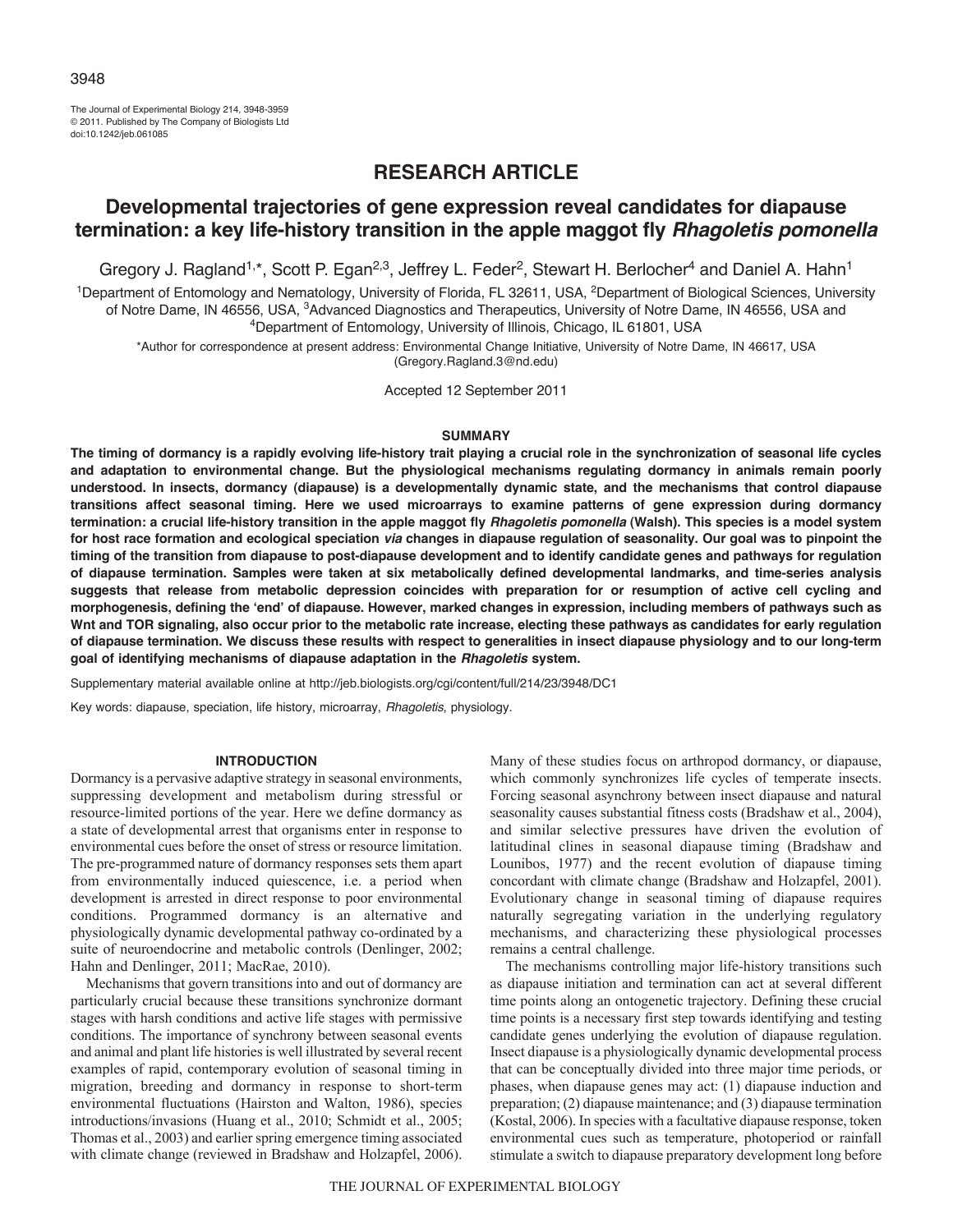The Journal of Experimental Biology 214, 3948-3959 © 2011. Published by The Company of Biologists Ltd doi:10.1242/jeb.061085

# **RESEARCH ARTICLE**

# **Developmental trajectories of gene expression reveal candidates for diapause termination: a key life-history transition in the apple maggot fly** *Rhagoletis pomonella*

Gregory J. Ragland<sup>1,\*</sup>, Scott P. Egan<sup>2,3</sup>, Jeffrey L. Feder<sup>2</sup>, Stewart H. Berlocher<sup>4</sup> and Daniel A. Hahn<sup>1</sup>

<sup>1</sup>Department of Entomology and Nematology, University of Florida, FL 32611, USA, <sup>2</sup>Department of Biological Sciences, University of Notre Dame, IN 46556, USA, <sup>3</sup>Advanced Diagnostics and Therapeutics, University of Notre Dame, IN 46556, USA and 4Department of Entomology, University of Illinois, Chicago, IL 61801, USA

\*Author for correspondence at present address: Environmental Change Initiative, University of Notre Dame, IN 46617, USA (Gregory.Ragland.3@nd.edu)

Accepted 12 September 2011

### **SUMMARY**

**The timing of dormancy is a rapidly evolving life-history trait playing a crucial role in the synchronization of seasonal life cycles and adaptation to environmental change. But the physiological mechanisms regulating dormancy in animals remain poorly understood. In insects, dormancy (diapause) is a developmentally dynamic state, and the mechanisms that control diapause transitions affect seasonal timing. Here we used microarrays to examine patterns of gene expression during dormancy termination: a crucial life-history transition in the apple maggot fly** *Rhagoletis pomonella* **(Walsh). This species is a model system for host race formation and ecological speciation** *via* **changes in diapause regulation of seasonality. Our goal was to pinpoint the timing of the transition from diapause to post-diapause development and to identify candidate genes and pathways for regulation of diapause termination. Samples were taken at six metabolically defined developmental landmarks, and time-series analysis suggests that release from metabolic depression coincides with preparation for or resumption of active cell cycling and morphogenesis, defining the ʻend' of diapause. However, marked changes in expression, including members of pathways such as Wnt and TOR signaling, also occur prior to the metabolic rate increase, electing these pathways as candidates for early regulation of diapause termination. We discuss these results with respect to generalities in insect diapause physiology and to our long-term goal of identifying mechanisms of diapause adaptation in the** *Rhagoletis* **system.**

Supplementary material available online at http://jeb.biologists.org/cgi/content/full/214/23/3948/DC1

Key words: diapause, speciation, life history, microarray, *Rhagoletis*, physiology.

#### **INTRODUCTION**

Dormancy is a pervasive adaptive strategy in seasonal environments, suppressing development and metabolism during stressful or resource-limited portions of the year. Here we define dormancy as a state of developmental arrest that organisms enter in response to environmental cues before the onset of stress or resource limitation. The pre-programmed nature of dormancy responses sets them apart from environmentally induced quiescence, i.e. a period when development is arrested in direct response to poor environmental conditions. Programmed dormancy is an alternative and physiologically dynamic developmental pathway co-ordinated by a suite of neuroendocrine and metabolic controls (Denlinger, 2002; Hahn and Denlinger, 2011; MacRae, 2010).

Mechanisms that govern transitions into and out of dormancy are particularly crucial because these transitions synchronize dormant stages with harsh conditions and active life stages with permissive conditions. The importance of synchrony between seasonal events and animal and plant life histories is well illustrated by several recent examples of rapid, contemporary evolution of seasonal timing in migration, breeding and dormancy in response to short-term environmental fluctuations (Hairston and Walton, 1986), species introductions/invasions (Huang et al., 2010; Schmidt et al., 2005; Thomas et al., 2003) and earlier spring emergence timing associated with climate change (reviewed in Bradshaw and Holzapfel, 2006).

Many of these studies focus on arthropod dormancy, or diapause, which commonly synchronizes life cycles of temperate insects. Forcing seasonal asynchrony between insect diapause and natural seasonality causes substantial fitness costs (Bradshaw et al., 2004), and similar selective pressures have driven the evolution of latitudinal clines in seasonal diapause timing (Bradshaw and Lounibos, 1977) and the recent evolution of diapause timing concordant with climate change (Bradshaw and Holzapfel, 2001). Evolutionary change in seasonal timing of diapause requires naturally segregating variation in the underlying regulatory mechanisms, and characterizing these physiological processes remains a central challenge.

The mechanisms controlling major life-history transitions such as diapause initiation and termination can act at several different time points along an ontogenetic trajectory. Defining these crucial time points is a necessary first step towards identifying and testing candidate genes underlying the evolution of diapause regulation. Insect diapause is a physiologically dynamic developmental process that can be conceptually divided into three major time periods, or phases, when diapause genes may act: (1) diapause induction and preparation; (2) diapause maintenance; and (3) diapause termination (Kostal, 2006). In species with a facultative diapause response, token environmental cues such as temperature, photoperiod or rainfall stimulate a switch to diapause preparatory development long before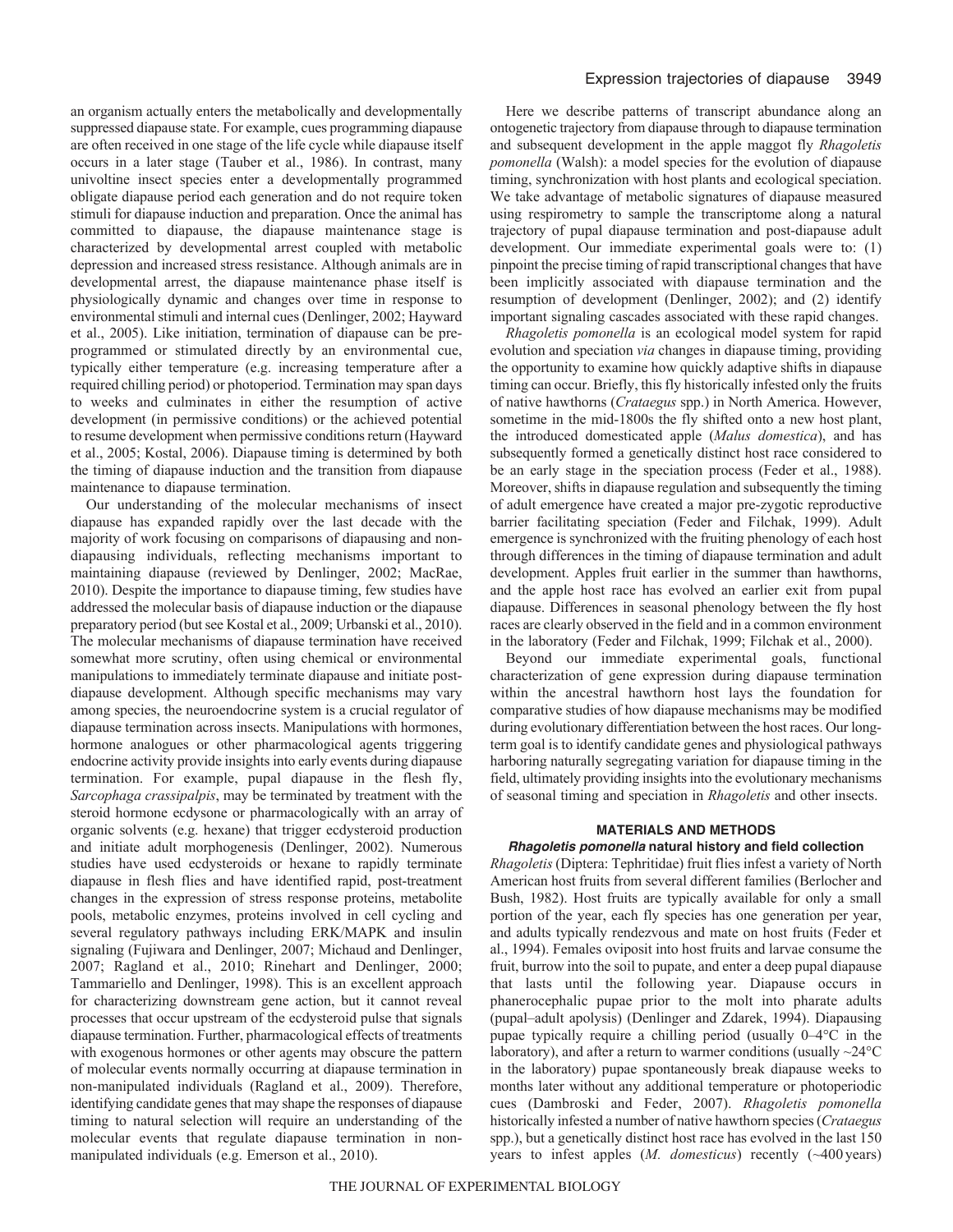an organism actually enters the metabolically and developmentally suppressed diapause state. For example, cues programming diapause are often received in one stage of the life cycle while diapause itself occurs in a later stage (Tauber et al., 1986). In contrast, many univoltine insect species enter a developmentally programmed obligate diapause period each generation and do not require token stimuli for diapause induction and preparation. Once the animal has committed to diapause, the diapause maintenance stage is characterized by developmental arrest coupled with metabolic depression and increased stress resistance. Although animals are in developmental arrest, the diapause maintenance phase itself is physiologically dynamic and changes over time in response to environmental stimuli and internal cues (Denlinger, 2002; Hayward et al., 2005). Like initiation, termination of diapause can be preprogrammed or stimulated directly by an environmental cue, typically either temperature (e.g. increasing temperature after a required chilling period) or photoperiod. Termination may span days to weeks and culminates in either the resumption of active development (in permissive conditions) or the achieved potential to resume development when permissive conditions return (Hayward et al., 2005; Kostal, 2006). Diapause timing is determined by both the timing of diapause induction and the transition from diapause maintenance to diapause termination.

Our understanding of the molecular mechanisms of insect diapause has expanded rapidly over the last decade with the majority of work focusing on comparisons of diapausing and nondiapausing individuals, reflecting mechanisms important to maintaining diapause (reviewed by Denlinger, 2002; MacRae, 2010). Despite the importance to diapause timing, few studies have addressed the molecular basis of diapause induction or the diapause preparatory period (but see Kostal et al., 2009; Urbanski et al., 2010). The molecular mechanisms of diapause termination have received somewhat more scrutiny, often using chemical or environmental manipulations to immediately terminate diapause and initiate postdiapause development. Although specific mechanisms may vary among species, the neuroendocrine system is a crucial regulator of diapause termination across insects. Manipulations with hormones, hormone analogues or other pharmacological agents triggering endocrine activity provide insights into early events during diapause termination. For example, pupal diapause in the flesh fly, *Sarcophaga crassipalpis*, may be terminated by treatment with the steroid hormone ecdysone or pharmacologically with an array of organic solvents (e.g. hexane) that trigger ecdysteroid production and initiate adult morphogenesis (Denlinger, 2002). Numerous studies have used ecdysteroids or hexane to rapidly terminate diapause in flesh flies and have identified rapid, post-treatment changes in the expression of stress response proteins, metabolite pools, metabolic enzymes, proteins involved in cell cycling and several regulatory pathways including ERK/MAPK and insulin signaling (Fujiwara and Denlinger, 2007; Michaud and Denlinger, 2007; Ragland et al., 2010; Rinehart and Denlinger, 2000; Tammariello and Denlinger, 1998). This is an excellent approach for characterizing downstream gene action, but it cannot reveal processes that occur upstream of the ecdysteroid pulse that signals diapause termination. Further, pharmacological effects of treatments with exogenous hormones or other agents may obscure the pattern of molecular events normally occurring at diapause termination in non-manipulated individuals (Ragland et al., 2009). Therefore, identifying candidate genes that may shape the responses of diapause timing to natural selection will require an understanding of the molecular events that regulate diapause termination in nonmanipulated individuals (e.g. Emerson et al., 2010).

Here we describe patterns of transcript abundance along an ontogenetic trajectory from diapause through to diapause termination and subsequent development in the apple maggot fly *Rhagoletis pomonella* (Walsh): a model species for the evolution of diapause timing, synchronization with host plants and ecological speciation. We take advantage of metabolic signatures of diapause measured using respirometry to sample the transcriptome along a natural trajectory of pupal diapause termination and post-diapause adult development. Our immediate experimental goals were to: (1) pinpoint the precise timing of rapid transcriptional changes that have been implicitly associated with diapause termination and the resumption of development (Denlinger, 2002); and (2) identify important signaling cascades associated with these rapid changes.

*Rhagoletis pomonella* is an ecological model system for rapid evolution and speciation *via* changes in diapause timing, providing the opportunity to examine how quickly adaptive shifts in diapause timing can occur. Briefly, this fly historically infested only the fruits of native hawthorns (*Crataegus* spp.) in North America. However, sometime in the mid-1800s the fly shifted onto a new host plant, the introduced domesticated apple (*Malus domestica*), and has subsequently formed a genetically distinct host race considered to be an early stage in the speciation process (Feder et al., 1988). Moreover, shifts in diapause regulation and subsequently the timing of adult emergence have created a major pre-zygotic reproductive barrier facilitating speciation (Feder and Filchak, 1999). Adult emergence is synchronized with the fruiting phenology of each host through differences in the timing of diapause termination and adult development. Apples fruit earlier in the summer than hawthorns, and the apple host race has evolved an earlier exit from pupal diapause. Differences in seasonal phenology between the fly host races are clearly observed in the field and in a common environment in the laboratory (Feder and Filchak, 1999; Filchak et al., 2000).

Beyond our immediate experimental goals, functional characterization of gene expression during diapause termination within the ancestral hawthorn host lays the foundation for comparative studies of how diapause mechanisms may be modified during evolutionary differentiation between the host races. Our longterm goal is to identify candidate genes and physiological pathways harboring naturally segregating variation for diapause timing in the field, ultimately providing insights into the evolutionary mechanisms of seasonal timing and speciation in *Rhagoletis* and other insects.

# **MATERIALS AND METHODS**

#### *Rhagoletis pomonella* **natural history and field collection**

*Rhagoletis* (Diptera: Tephritidae) fruit flies infest a variety of North American host fruits from several different families (Berlocher and Bush, 1982). Host fruits are typically available for only a small portion of the year, each fly species has one generation per year, and adults typically rendezvous and mate on host fruits (Feder et al., 1994). Females oviposit into host fruits and larvae consume the fruit, burrow into the soil to pupate, and enter a deep pupal diapause that lasts until the following year. Diapause occurs in phanerocephalic pupae prior to the molt into pharate adults (pupal–adult apolysis) (Denlinger and Zdarek, 1994). Diapausing pupae typically require a chilling period (usually 0–4°C in the laboratory), and after a return to warmer conditions (usually  $\sim$ 24 $\degree$ C in the laboratory) pupae spontaneously break diapause weeks to months later without any additional temperature or photoperiodic cues (Dambroski and Feder, 2007). *Rhagoletis pomonella* historically infested a number of native hawthorn species (*Crataegus* spp.), but a genetically distinct host race has evolved in the last 150 years to infest apples (*M. domesticus*) recently (~400 years)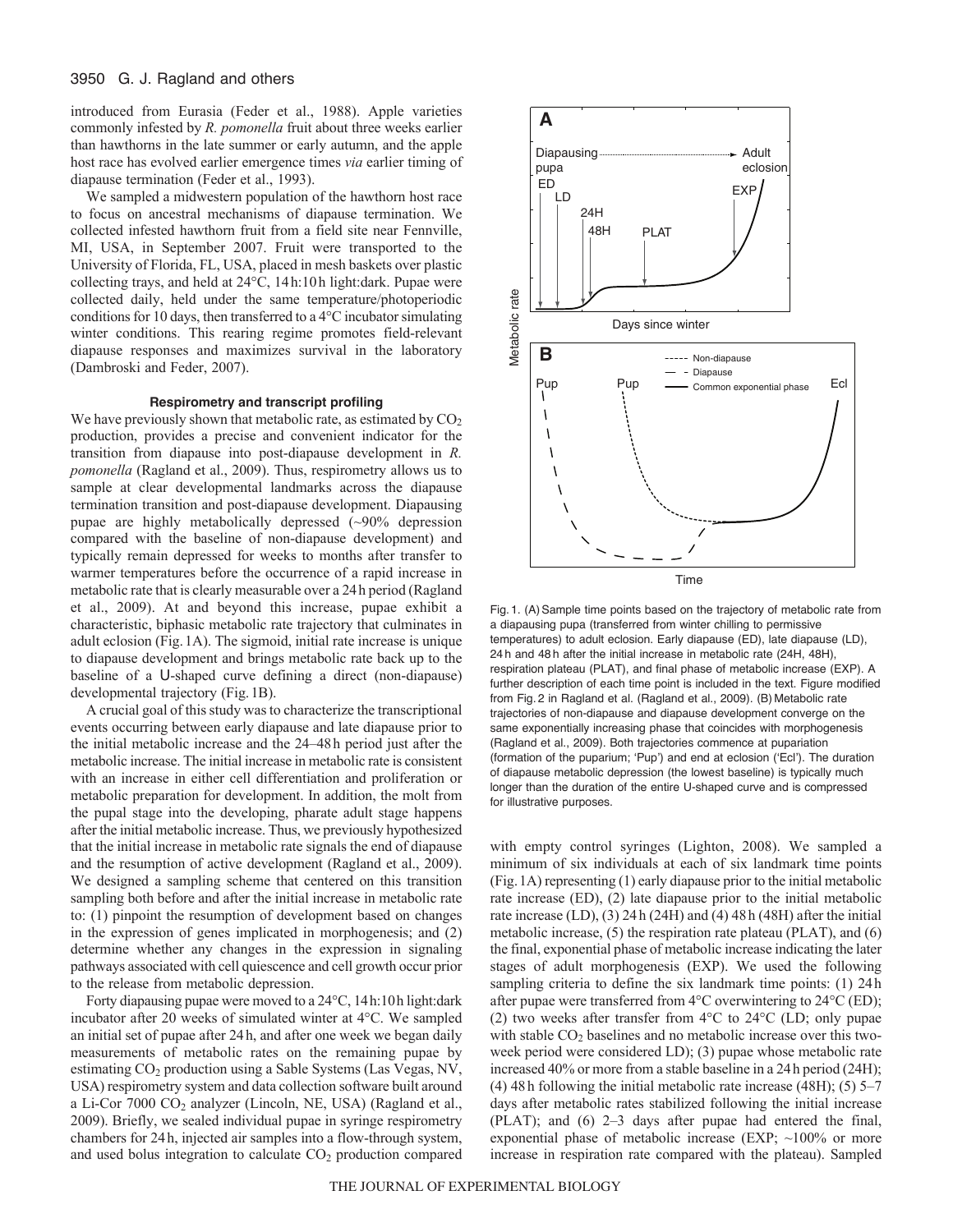## 3950 G. J. Ragland and others

introduced from Eurasia (Feder et al., 1988). Apple varieties commonly infested by *R. pomonella* fruit about three weeks earlier than hawthorns in the late summer or early autumn, and the apple host race has evolved earlier emergence times *via* earlier timing of diapause termination (Feder et al., 1993).

We sampled a midwestern population of the hawthorn host race to focus on ancestral mechanisms of diapause termination. We collected infested hawthorn fruit from a field site near Fennville, MI, USA, in September 2007. Fruit were transported to the University of Florida, FL, USA, placed in mesh baskets over plastic collecting trays, and held at 24°C, 14h:10h light:dark. Pupae were collected daily, held under the same temperature/photoperiodic conditions for 10 days, then transferred to a 4°C incubator simulating winter conditions. This rearing regime promotes field-relevant diapause responses and maximizes survival in the laboratory (Dambroski and Feder, 2007).

# **Respirometry and transcript profiling**

We have previously shown that metabolic rate, as estimated by  $CO<sub>2</sub>$ production, provides a precise and convenient indicator for the transition from diapause into post-diapause development in *R. pomonella* (Ragland et al., 2009). Thus, respirometry allows us to sample at clear developmental landmarks across the diapause termination transition and post-diapause development. Diapausing pupae are highly metabolically depressed (~90% depression compared with the baseline of non-diapause development) and typically remain depressed for weeks to months after transfer to warmer temperatures before the occurrence of a rapid increase in metabolic rate that is clearly measurable over a 24h period (Ragland et al., 2009). At and beyond this increase, pupae exhibit a characteristic, biphasic metabolic rate trajectory that culminates in adult eclosion (Fig.1A). The sigmoid, initial rate increase is unique to diapause development and brings metabolic rate back up to the baseline of a U-shaped curve defining a direct (non-diapause) developmental trajectory (Fig.1B).

A crucial goal of this study was to characterize the transcriptional events occurring between early diapause and late diapause prior to the initial metabolic increase and the 24–48h period just after the metabolic increase. The initial increase in metabolic rate is consistent with an increase in either cell differentiation and proliferation or metabolic preparation for development. In addition, the molt from the pupal stage into the developing, pharate adult stage happens after the initial metabolic increase. Thus, we previously hypothesized that the initial increase in metabolic rate signals the end of diapause and the resumption of active development (Ragland et al., 2009). We designed a sampling scheme that centered on this transition sampling both before and after the initial increase in metabolic rate to: (1) pinpoint the resumption of development based on changes in the expression of genes implicated in morphogenesis; and (2) determine whether any changes in the expression in signaling pathways associated with cell quiescence and cell growth occur prior to the release from metabolic depression.

Forty diapausing pupae were moved to a 24°C, 14h:10h light:dark incubator after 20 weeks of simulated winter at 4°C. We sampled an initial set of pupae after 24h, and after one week we began daily measurements of metabolic rates on the remaining pupae by estimating CO<sub>2</sub> production using a Sable Systems (Las Vegas, NV, USA) respirometry system and data collection software built around a Li-Cor  $7000 \text{ CO}_2$  analyzer (Lincoln, NE, USA) (Ragland et al., 2009). Briefly, we sealed individual pupae in syringe respirometry chambers for 24h, injected air samples into a flow-through system, and used bolus integration to calculate  $CO<sub>2</sub>$  production compared



Fig. 1. (A) Sample time points based on the trajectory of metabolic rate from a diapausing pupa (transferred from winter chilling to permissive temperatures) to adult eclosion. Early diapause (ED), late diapause (LD), 24 h and 48 h after the initial increase in metabolic rate (24H, 48H), respiration plateau (PLAT), and final phase of metabolic increase (EXP). A further description of each time point is included in the text. Figure modified from Fig. 2 in Ragland et al. (Ragland et al., 2009). (B) Metabolic rate trajectories of non-diapause and diapause development converge on the same exponentially increasing phase that coincides with morphogenesis (Ragland et al., 2009). Both trajectories commence at pupariation (formation of the puparium; ʻPup') and end at eclosion (ʻEcl'). The duration of diapause metabolic depression (the lowest baseline) is typically much longer than the duration of the entire U-shaped curve and is compressed for illustrative purposes.

with empty control syringes (Lighton, 2008). We sampled a minimum of six individuals at each of six landmark time points (Fig.1A) representing (1) early diapause prior to the initial metabolic rate increase (ED), (2) late diapause prior to the initial metabolic rate increase (LD), (3) 24h (24H) and (4) 48h (48H) after the initial metabolic increase, (5) the respiration rate plateau (PLAT), and (6) the final, exponential phase of metabolic increase indicating the later stages of adult morphogenesis (EXP). We used the following sampling criteria to define the six landmark time points: (1) 24h after pupae were transferred from 4°C overwintering to 24°C (ED); (2) two weeks after transfer from 4°C to 24°C (LD; only pupae with stable CO<sub>2</sub> baselines and no metabolic increase over this twoweek period were considered LD); (3) pupae whose metabolic rate increased 40% or more from a stable baseline in a 24h period (24H); (4) 48h following the initial metabolic rate increase (48H); (5) 5–7 days after metabolic rates stabilized following the initial increase (PLAT); and (6) 2–3 days after pupae had entered the final, exponential phase of metabolic increase (EXP;  $\sim$ 100% or more increase in respiration rate compared with the plateau). Sampled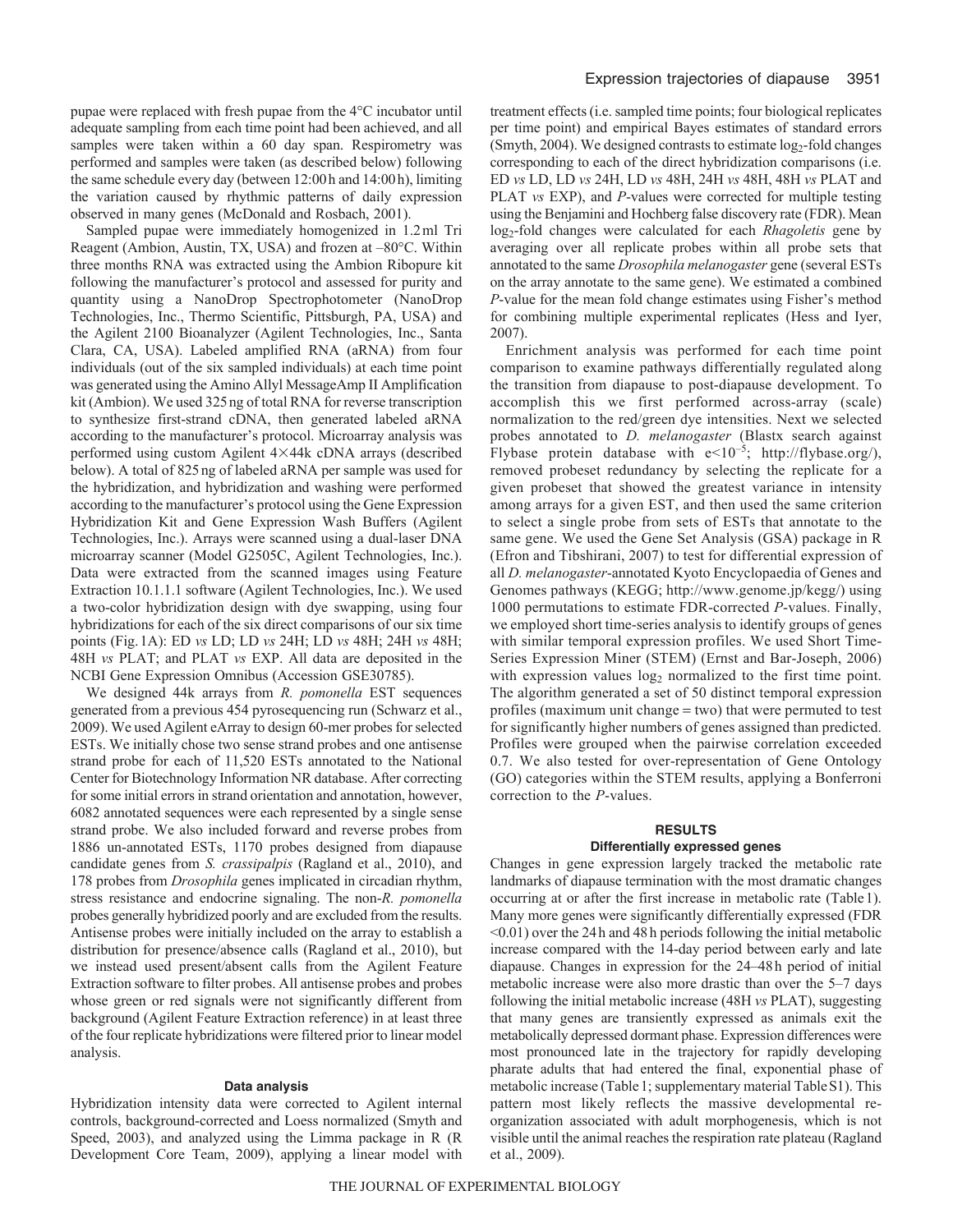pupae were replaced with fresh pupae from the 4°C incubator until adequate sampling from each time point had been achieved, and all samples were taken within a 60 day span. Respirometry was performed and samples were taken (as described below) following the same schedule every day (between 12:00h and 14:00h), limiting the variation caused by rhythmic patterns of daily expression observed in many genes (McDonald and Rosbach, 2001).

Sampled pupae were immediately homogenized in 1.2ml Tri Reagent (Ambion, Austin, TX, USA) and frozen at –80°C. Within three months RNA was extracted using the Ambion Ribopure kit following the manufacturer's protocol and assessed for purity and quantity using a NanoDrop Spectrophotometer (NanoDrop Technologies, Inc., Thermo Scientific, Pittsburgh, PA, USA) and the Agilent 2100 Bioanalyzer (Agilent Technologies, Inc., Santa Clara, CA, USA). Labeled amplified RNA (aRNA) from four individuals (out of the six sampled individuals) at each time point was generated using the Amino Allyl MessageAmp II Amplification kit (Ambion). We used 325ng of total RNA for reverse transcription to synthesize first-strand cDNA, then generated labeled aRNA according to the manufacturer's protocol. Microarray analysis was performed using custom Agilent 4×44k cDNA arrays (described below). A total of 825ng of labeled aRNA per sample was used for the hybridization, and hybridization and washing were performed according to the manufacturer's protocol using the Gene Expression Hybridization Kit and Gene Expression Wash Buffers (Agilent Technologies, Inc.). Arrays were scanned using a dual-laser DNA microarray scanner (Model G2505C, Agilent Technologies, Inc.). Data were extracted from the scanned images using Feature Extraction 10.1.1.1 software (Agilent Technologies, Inc.). We used a two-color hybridization design with dye swapping, using four hybridizations for each of the six direct comparisons of our six time points (Fig.1A): ED *vs* LD; LD *vs* 24H; LD *vs* 48H; 24H *vs* 48H; 48H *vs* PLAT; and PLAT *vs* EXP. All data are deposited in the NCBI Gene Expression Omnibus (Accession GSE30785).

We designed 44k arrays from *R. pomonella* EST sequences generated from a previous 454 pyrosequencing run (Schwarz et al., 2009). We used Agilent eArray to design 60-mer probes for selected ESTs. We initially chose two sense strand probes and one antisense strand probe for each of 11,520 ESTs annotated to the National Center for Biotechnology Information NR database. After correcting for some initial errors in strand orientation and annotation, however, 6082 annotated sequences were each represented by a single sense strand probe. We also included forward and reverse probes from 1886 un-annotated ESTs, 1170 probes designed from diapause candidate genes from *S. crassipalpis* (Ragland et al., 2010), and 178 probes from *Drosophila* genes implicated in circadian rhythm, stress resistance and endocrine signaling. The non-*R. pomonella* probes generally hybridized poorly and are excluded from the results. Antisense probes were initially included on the array to establish a distribution for presence/absence calls (Ragland et al., 2010), but we instead used present/absent calls from the Agilent Feature Extraction software to filter probes. All antisense probes and probes whose green or red signals were not significantly different from background (Agilent Feature Extraction reference) in at least three of the four replicate hybridizations were filtered prior to linear model analysis.

#### **Data analysis**

Hybridization intensity data were corrected to Agilent internal controls, background-corrected and Loess normalized (Smyth and Speed, 2003), and analyzed using the Limma package in R (R Development Core Team, 2009), applying a linear model with treatment effects (i.e. sampled time points; four biological replicates per time point) and empirical Bayes estimates of standard errors (Smyth, 2004). We designed contrasts to estimate  $log_2$ -fold changes corresponding to each of the direct hybridization comparisons (i.e. ED *vs* LD, LD *vs* 24H, LD *vs* 48H, 24H *vs* 48H, 48H *vs* PLAT and PLAT *vs* EXP), and *P*-values were corrected for multiple testing using the Benjamini and Hochberg false discovery rate (FDR). Mean log2-fold changes were calculated for each *Rhagoletis* gene by averaging over all replicate probes within all probe sets that annotated to the same *Drosophila melanogaster* gene (several ESTs on the array annotate to the same gene). We estimated a combined *P*-value for the mean fold change estimates using Fisher's method for combining multiple experimental replicates (Hess and Iyer, 2007).

Enrichment analysis was performed for each time point comparison to examine pathways differentially regulated along the transition from diapause to post-diapause development. To accomplish this we first performed across-array (scale) normalization to the red/green dye intensities. Next we selected probes annotated to *D. melanogaster* (Blastx search against Flybase protein database with  $e<10^{-5}$ ; http://flybase.org/), removed probeset redundancy by selecting the replicate for a given probeset that showed the greatest variance in intensity among arrays for a given EST, and then used the same criterion to select a single probe from sets of ESTs that annotate to the same gene. We used the Gene Set Analysis (GSA) package in R (Efron and Tibshirani, 2007) to test for differential expression of all *D. melanogaster*-annotated Kyoto Encyclopaedia of Genes and Genomes pathways (KEGG; http://www.genome.jp/kegg/) using 1000 permutations to estimate FDR-corrected *P*-values. Finally, we employed short time-series analysis to identify groups of genes with similar temporal expression profiles. We used Short Time-Series Expression Miner (STEM) (Ernst and Bar-Joseph, 2006) with expression values  $log_2$  normalized to the first time point. The algorithm generated a set of 50 distinct temporal expression profiles (maximum unit change  $=$  two) that were permuted to test for significantly higher numbers of genes assigned than predicted. Profiles were grouped when the pairwise correlation exceeded 0.7. We also tested for over-representation of Gene Ontology (GO) categories within the STEM results, applying a Bonferroni correction to the *P*-values.

#### **RESULTS**

#### **Differentially expressed genes**

Changes in gene expression largely tracked the metabolic rate landmarks of diapause termination with the most dramatic changes occurring at or after the first increase in metabolic rate (Table1). Many more genes were significantly differentially expressed (FDR <0.01) over the 24h and 48h periods following the initial metabolic increase compared with the 14-day period between early and late diapause. Changes in expression for the 24–48h period of initial metabolic increase were also more drastic than over the 5–7 days following the initial metabolic increase (48H *vs* PLAT), suggesting that many genes are transiently expressed as animals exit the metabolically depressed dormant phase. Expression differences were most pronounced late in the trajectory for rapidly developing pharate adults that had entered the final, exponential phase of metabolic increase (Table1; supplementary material TableS1). This pattern most likely reflects the massive developmental reorganization associated with adult morphogenesis, which is not visible until the animal reaches the respiration rate plateau (Ragland et al., 2009).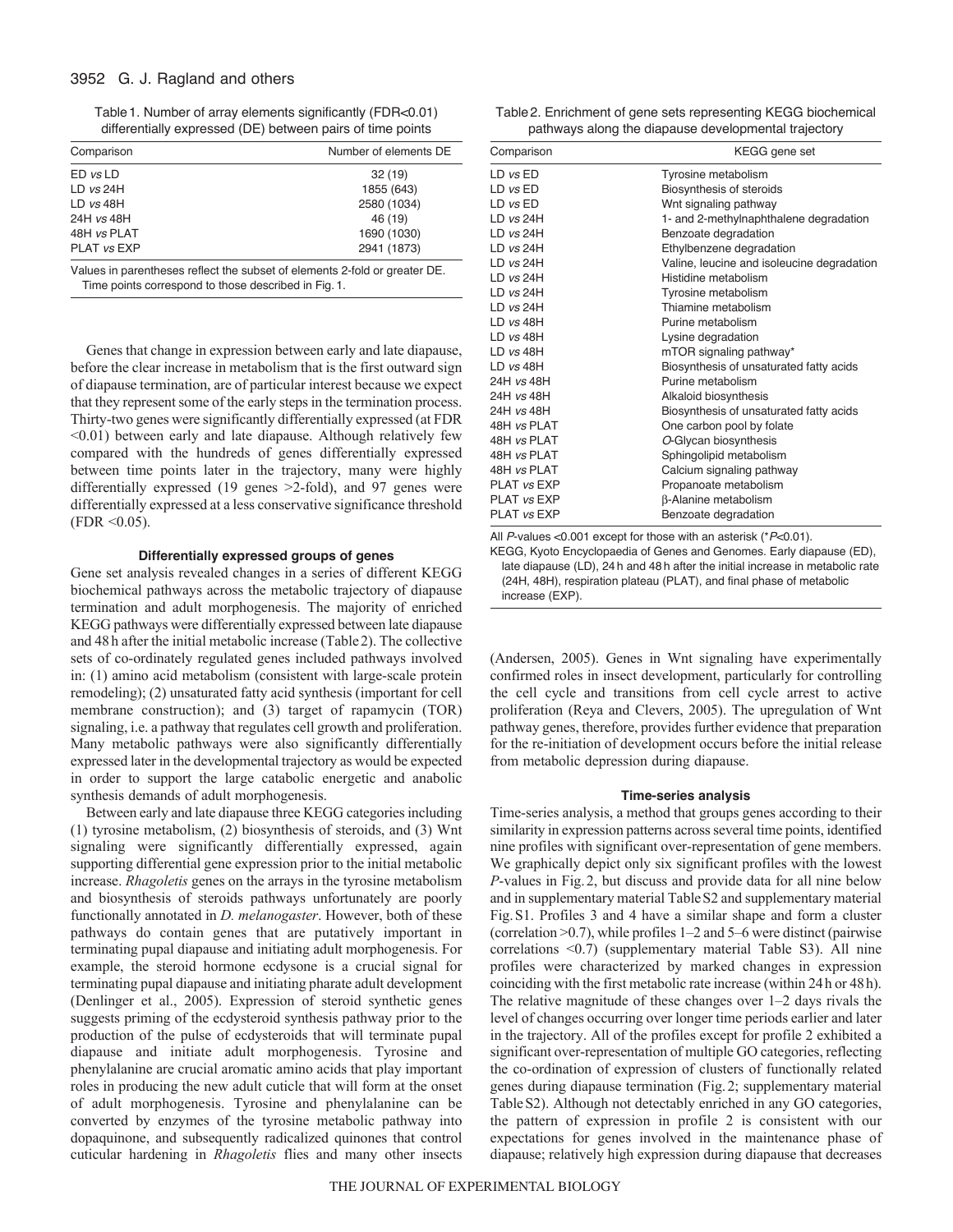# 3952 G. J. Ragland and others

Table1. Number of array elements significantly (FDR<0.01) differentially expressed (DE) between pairs of time points

| Comparison   | Number of elements DE |  |
|--------------|-----------------------|--|
| $ED$ vs $LD$ | 32(19)                |  |
| LD $vs$ 24H  | 1855 (643)            |  |
| $LD$ vs 48H  | 2580 (1034)           |  |
| 24H vs 48H   | 46 (19)               |  |
| 48H vs PLAT  | 1690 (1030)           |  |
| PLAT vs EXP  | 2941 (1873)           |  |

Values in parentheses reflect the subset of elements 2-fold or greater DE. Time points correspond to those described in Fig. 1.

Genes that change in expression between early and late diapause, before the clear increase in metabolism that is the first outward sign of diapause termination, are of particular interest because we expect that they represent some of the early steps in the termination process. Thirty-two genes were significantly differentially expressed (at FDR <0.01) between early and late diapause. Although relatively few compared with the hundreds of genes differentially expressed between time points later in the trajectory, many were highly differentially expressed (19 genes >2-fold), and 97 genes were differentially expressed at a less conservative significance threshold  $(FDR < 0.05)$ .

## **Differentially expressed groups of genes**

Gene set analysis revealed changes in a series of different KEGG biochemical pathways across the metabolic trajectory of diapause termination and adult morphogenesis. The majority of enriched KEGG pathways were differentially expressed between late diapause and 48h after the initial metabolic increase (Table2). The collective sets of co-ordinately regulated genes included pathways involved in: (1) amino acid metabolism (consistent with large-scale protein remodeling); (2) unsaturated fatty acid synthesis (important for cell membrane construction); and (3) target of rapamycin (TOR) signaling, i.e. a pathway that regulates cell growth and proliferation. Many metabolic pathways were also significantly differentially expressed later in the developmental trajectory as would be expected in order to support the large catabolic energetic and anabolic synthesis demands of adult morphogenesis.

Between early and late diapause three KEGG categories including (1) tyrosine metabolism, (2) biosynthesis of steroids, and (3) Wnt signaling were significantly differentially expressed, again supporting differential gene expression prior to the initial metabolic increase. *Rhagoletis* genes on the arrays in the tyrosine metabolism and biosynthesis of steroids pathways unfortunately are poorly functionally annotated in *D. melanogaster*. However, both of these pathways do contain genes that are putatively important in terminating pupal diapause and initiating adult morphogenesis. For example, the steroid hormone ecdysone is a crucial signal for terminating pupal diapause and initiating pharate adult development (Denlinger et al., 2005). Expression of steroid synthetic genes suggests priming of the ecdysteroid synthesis pathway prior to the production of the pulse of ecdysteroids that will terminate pupal diapause and initiate adult morphogenesis. Tyrosine and phenylalanine are crucial aromatic amino acids that play important roles in producing the new adult cuticle that will form at the onset of adult morphogenesis. Tyrosine and phenylalanine can be converted by enzymes of the tyrosine metabolic pathway into dopaquinone, and subsequently radicalized quinones that control cuticular hardening in *Rhagoletis* flies and many other insects

| Table 2. Enrichment of gene sets representing KEGG biochemical |  |
|----------------------------------------------------------------|--|
| pathways along the diapause developmental trajectory           |  |

| Comparison     | KEGG gene set                              |
|----------------|--------------------------------------------|
| $LD$ $vs$ $ED$ | Tyrosine metabolism                        |
| $LD$ $vs$ $ED$ | Biosynthesis of steroids                   |
| $LD$ $vs$ $ED$ | Wnt signaling pathway                      |
| $LD$ vs $24H$  | 1- and 2-methylnaphthalene degradation     |
| $LD$ vs $24H$  | Benzoate degradation                       |
| $LD$ vs $24H$  | Ethylbenzene degradation                   |
| $LD$ vs $24H$  | Valine, leucine and isoleucine degradation |
| $LD$ vs $24H$  | Histidine metabolism                       |
| $LD$ vs $24H$  | Tyrosine metabolism                        |
| $LD$ vs $24H$  | Thiamine metabolism                        |
| $LD$ vs 48H    | Purine metabolism                          |
| $LD$ vs 48H    | Lysine degradation                         |
| $LD$ vs 48H    | mTOR signaling pathway*                    |
| $LD$ vs 48H    | Biosynthesis of unsaturated fatty acids    |
| 24H vs 48H     | Purine metabolism                          |
| 24H vs 48H     | Alkaloid biosynthesis                      |
| 24H vs 48H     | Biosynthesis of unsaturated fatty acids    |
| 48H vs PLAT    | One carbon pool by folate                  |
| 48H vs PLAT    | O-Glycan biosynthesis                      |
| 48H vs PLAT    | Sphingolipid metabolism                    |
| 48H vs PLAT    | Calcium signaling pathway                  |
| PLAT vs EXP    | Propanoate metabolism                      |
| PLAT vs EXP    | β-Alanine metabolism                       |
| PLAT vs EXP    | Benzoate degradation                       |
|                |                                            |

All *P*-values <0.001 except for those with an asterisk (\**P*<0.01). KEGG, Kyoto Encyclopaedia of Genes and Genomes. Early diapause (ED), late diapause (LD), 24 h and 48 h after the initial increase in metabolic rate (24H, 48H), respiration plateau (PLAT), and final phase of metabolic increase (EXP).

(Andersen, 2005). Genes in Wnt signaling have experimentally confirmed roles in insect development, particularly for controlling the cell cycle and transitions from cell cycle arrest to active proliferation (Reya and Clevers, 2005). The upregulation of Wnt pathway genes, therefore, provides further evidence that preparation for the re-initiation of development occurs before the initial release from metabolic depression during diapause.

#### **Time-series analysis**

Time-series analysis, a method that groups genes according to their similarity in expression patterns across several time points, identified nine profiles with significant over-representation of gene members. We graphically depict only six significant profiles with the lowest *P*-values in Fig.2, but discuss and provide data for all nine below and in supplementary material TableS2 and supplementary material Fig.S1. Profiles 3 and 4 have a similar shape and form a cluster (correlation >0.7), while profiles 1–2 and 5–6 were distinct (pairwise correlations <0.7) (supplementary material Table S3). All nine profiles were characterized by marked changes in expression coinciding with the first metabolic rate increase (within 24h or 48h). The relative magnitude of these changes over 1–2 days rivals the level of changes occurring over longer time periods earlier and later in the trajectory. All of the profiles except for profile 2 exhibited a significant over-representation of multiple GO categories, reflecting the co-ordination of expression of clusters of functionally related genes during diapause termination (Fig.2; supplementary material TableS2). Although not detectably enriched in any GO categories, the pattern of expression in profile 2 is consistent with our expectations for genes involved in the maintenance phase of diapause; relatively high expression during diapause that decreases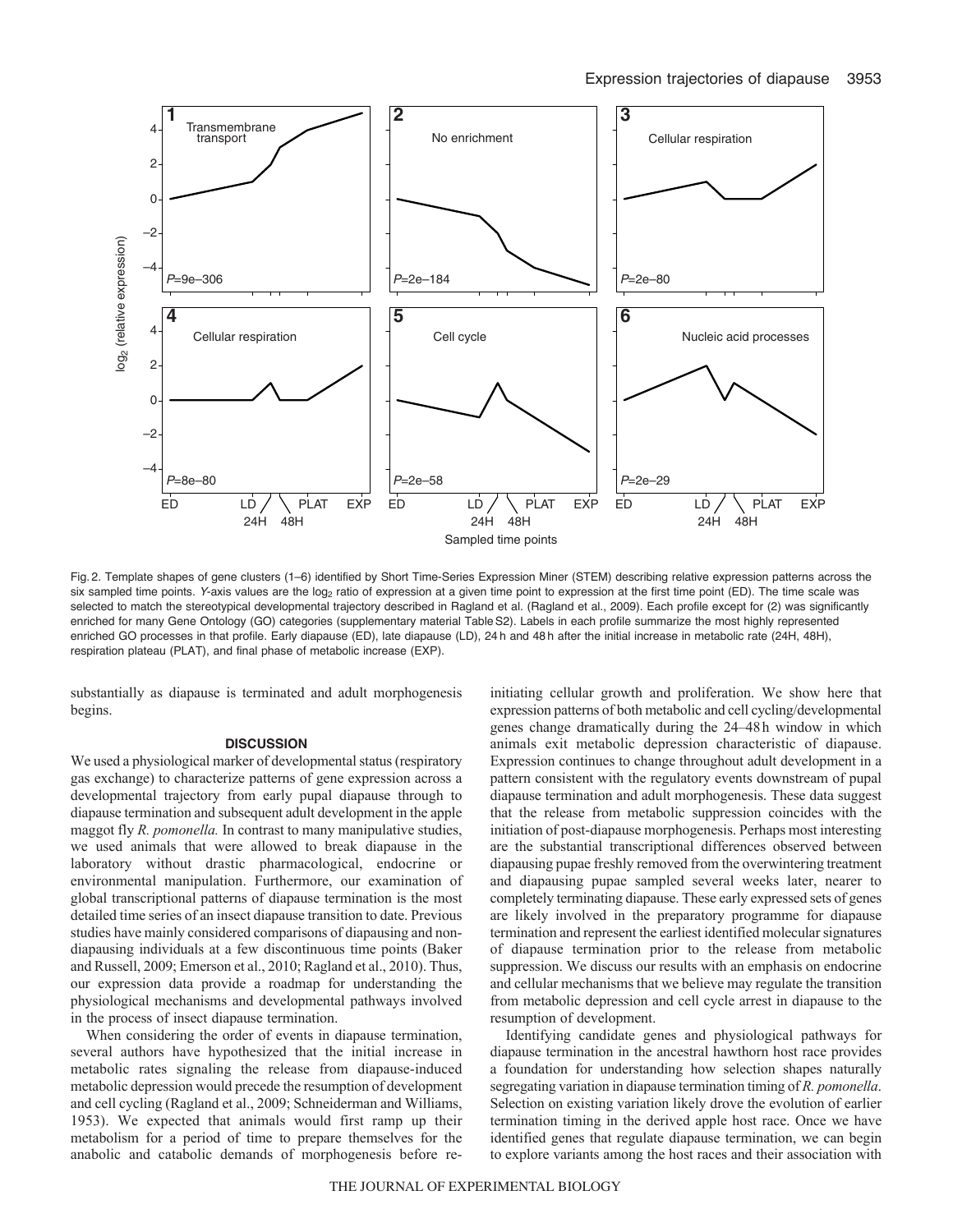

Fig. 2. Template shapes of gene clusters (1–6) identified by Short Time-Series Expression Miner (STEM) describing relative expression patterns across the six sampled time points. Y-axis values are the log<sub>2</sub> ratio of expression at a given time point to expression at the first time point (ED). The time scale was selected to match the stereotypical developmental trajectory described in Ragland et al. (Ragland et al., 2009). Each profile except for (2) was significantly enriched for many Gene Ontology (GO) categories (supplementary material TableS2). Labels in each profile summarize the most highly represented enriched GO processes in that profile. Early diapause (ED), late diapause (LD), 24h and 48h after the initial increase in metabolic rate (24H, 48H), respiration plateau (PLAT), and final phase of metabolic increase (EXP).

substantially as diapause is terminated and adult morphogenesis begins.

## **DISCUSSION**

We used a physiological marker of developmental status (respiratory gas exchange) to characterize patterns of gene expression across a developmental trajectory from early pupal diapause through to diapause termination and subsequent adult development in the apple maggot fly *R. pomonella.* In contrast to many manipulative studies, we used animals that were allowed to break diapause in the laboratory without drastic pharmacological, endocrine or environmental manipulation. Furthermore, our examination of global transcriptional patterns of diapause termination is the most detailed time series of an insect diapause transition to date. Previous studies have mainly considered comparisons of diapausing and nondiapausing individuals at a few discontinuous time points (Baker and Russell, 2009; Emerson et al., 2010; Ragland et al., 2010). Thus, our expression data provide a roadmap for understanding the physiological mechanisms and developmental pathways involved in the process of insect diapause termination.

When considering the order of events in diapause termination, several authors have hypothesized that the initial increase in metabolic rates signaling the release from diapause-induced metabolic depression would precede the resumption of development and cell cycling (Ragland et al., 2009; Schneiderman and Williams, 1953). We expected that animals would first ramp up their metabolism for a period of time to prepare themselves for the anabolic and catabolic demands of morphogenesis before reinitiating cellular growth and proliferation. We show here that expression patterns of both metabolic and cell cycling/developmental genes change dramatically during the 24–48h window in which animals exit metabolic depression characteristic of diapause. Expression continues to change throughout adult development in a pattern consistent with the regulatory events downstream of pupal diapause termination and adult morphogenesis. These data suggest that the release from metabolic suppression coincides with the initiation of post-diapause morphogenesis. Perhaps most interesting are the substantial transcriptional differences observed between diapausing pupae freshly removed from the overwintering treatment and diapausing pupae sampled several weeks later, nearer to completely terminating diapause. These early expressed sets of genes are likely involved in the preparatory programme for diapause termination and represent the earliest identified molecular signatures of diapause termination prior to the release from metabolic suppression. We discuss our results with an emphasis on endocrine and cellular mechanisms that we believe may regulate the transition from metabolic depression and cell cycle arrest in diapause to the resumption of development.

Identifying candidate genes and physiological pathways for diapause termination in the ancestral hawthorn host race provides a foundation for understanding how selection shapes naturally segregating variation in diapause termination timing of *R. pomonella*. Selection on existing variation likely drove the evolution of earlier termination timing in the derived apple host race. Once we have identified genes that regulate diapause termination, we can begin to explore variants among the host races and their association with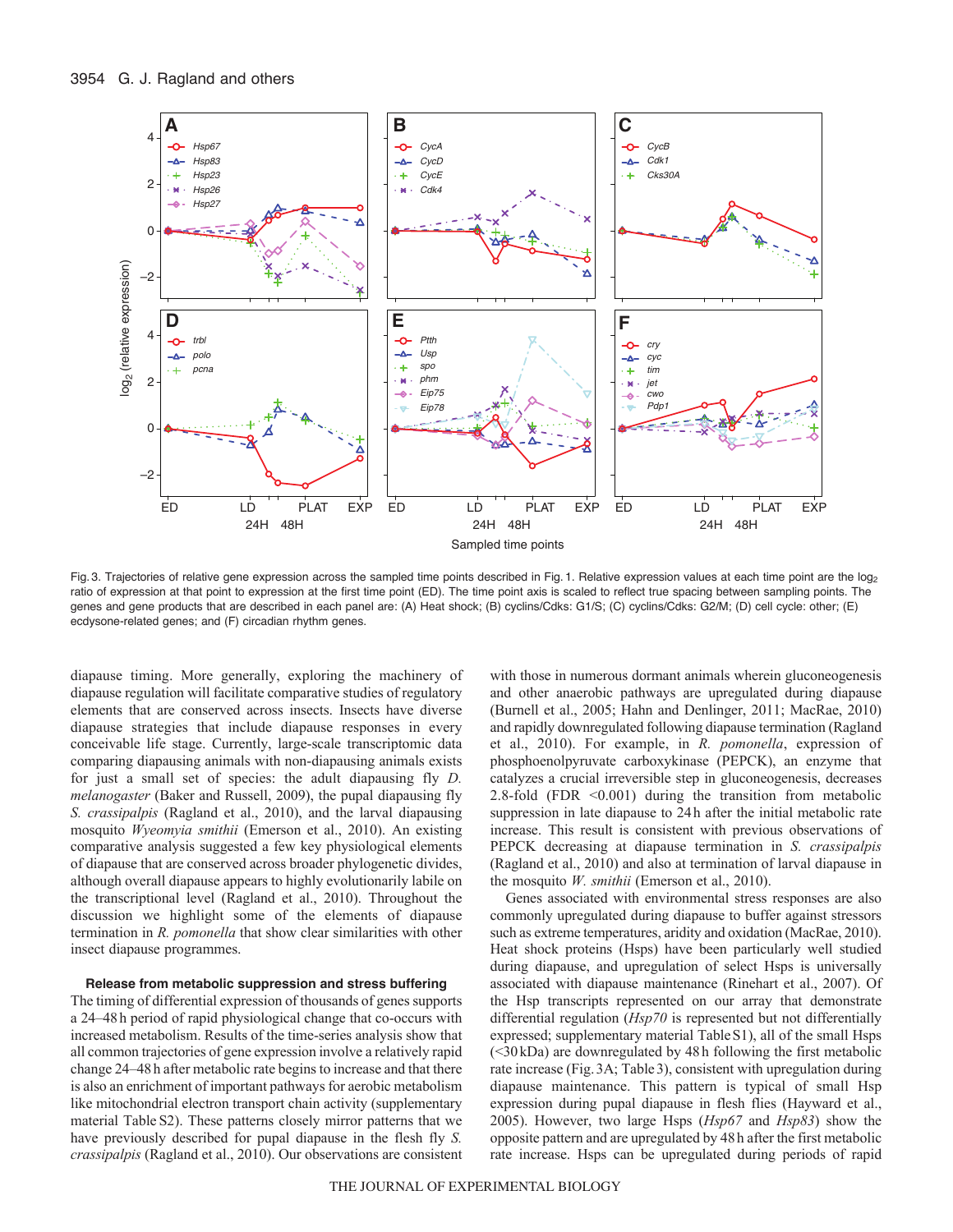

Fig. 3. Trajectories of relative gene expression across the sampled time points described in Fig. 1. Relative expression values at each time point are the  $log_2$ ratio of expression at that point to expression at the first time point (ED). The time point axis is scaled to reflect true spacing between sampling points. The genes and gene products that are described in each panel are: (A) Heat shock; (B) cyclins/Cdks: G1/S; (C) cyclins/Cdks: G2/M; (D) cell cycle: other; (E) ecdysone-related genes; and (F) circadian rhythm genes.

diapause timing. More generally, exploring the machinery of diapause regulation will facilitate comparative studies of regulatory elements that are conserved across insects. Insects have diverse diapause strategies that include diapause responses in every conceivable life stage. Currently, large-scale transcriptomic data comparing diapausing animals with non-diapausing animals exists for just a small set of species: the adult diapausing fly *D. melanogaster* (Baker and Russell, 2009), the pupal diapausing fly *S. crassipalpis* (Ragland et al., 2010), and the larval diapausing mosquito *Wyeomyia smithii* (Emerson et al., 2010). An existing comparative analysis suggested a few key physiological elements of diapause that are conserved across broader phylogenetic divides, although overall diapause appears to highly evolutionarily labile on the transcriptional level (Ragland et al., 2010). Throughout the discussion we highlight some of the elements of diapause termination in *R. pomonella* that show clear similarities with other insect diapause programmes.

#### **Release from metabolic suppression and stress buffering**

The timing of differential expression of thousands of genes supports a 24–48h period of rapid physiological change that co-occurs with increased metabolism. Results of the time-series analysis show that all common trajectories of gene expression involve a relatively rapid change 24–48h after metabolic rate begins to increase and that there is also an enrichment of important pathways for aerobic metabolism like mitochondrial electron transport chain activity (supplementary material Table S2). These patterns closely mirror patterns that we have previously described for pupal diapause in the flesh fly *S. crassipalpis* (Ragland et al., 2010). Our observations are consistent with those in numerous dormant animals wherein gluconeogenesis and other anaerobic pathways are upregulated during diapause (Burnell et al., 2005; Hahn and Denlinger, 2011; MacRae, 2010) and rapidly downregulated following diapause termination (Ragland et al., 2010). For example, in *R. pomonella*, expression of phosphoenolpyruvate carboxykinase (PEPCK), an enzyme that catalyzes a crucial irreversible step in gluconeogenesis, decreases 2.8-fold (FDR <0.001) during the transition from metabolic suppression in late diapause to 24h after the initial metabolic rate increase. This result is consistent with previous observations of PEPCK decreasing at diapause termination in *S. crassipalpis* (Ragland et al., 2010) and also at termination of larval diapause in the mosquito *W. smithii* (Emerson et al., 2010).

Genes associated with environmental stress responses are also commonly upregulated during diapause to buffer against stressors such as extreme temperatures, aridity and oxidation (MacRae, 2010). Heat shock proteins (Hsps) have been particularly well studied during diapause, and upregulation of select Hsps is universally associated with diapause maintenance (Rinehart et al., 2007). Of the Hsp transcripts represented on our array that demonstrate differential regulation (*Hsp70* is represented but not differentially expressed; supplementary material TableS1), all of the small Hsps (<30kDa) are downregulated by 48h following the first metabolic rate increase (Fig.3A; Table3), consistent with upregulation during diapause maintenance. This pattern is typical of small Hsp expression during pupal diapause in flesh flies (Hayward et al., 2005). However, two large Hsps (*Hsp67* and *Hsp83*) show the opposite pattern and are upregulated by 48h after the first metabolic rate increase. Hsps can be upregulated during periods of rapid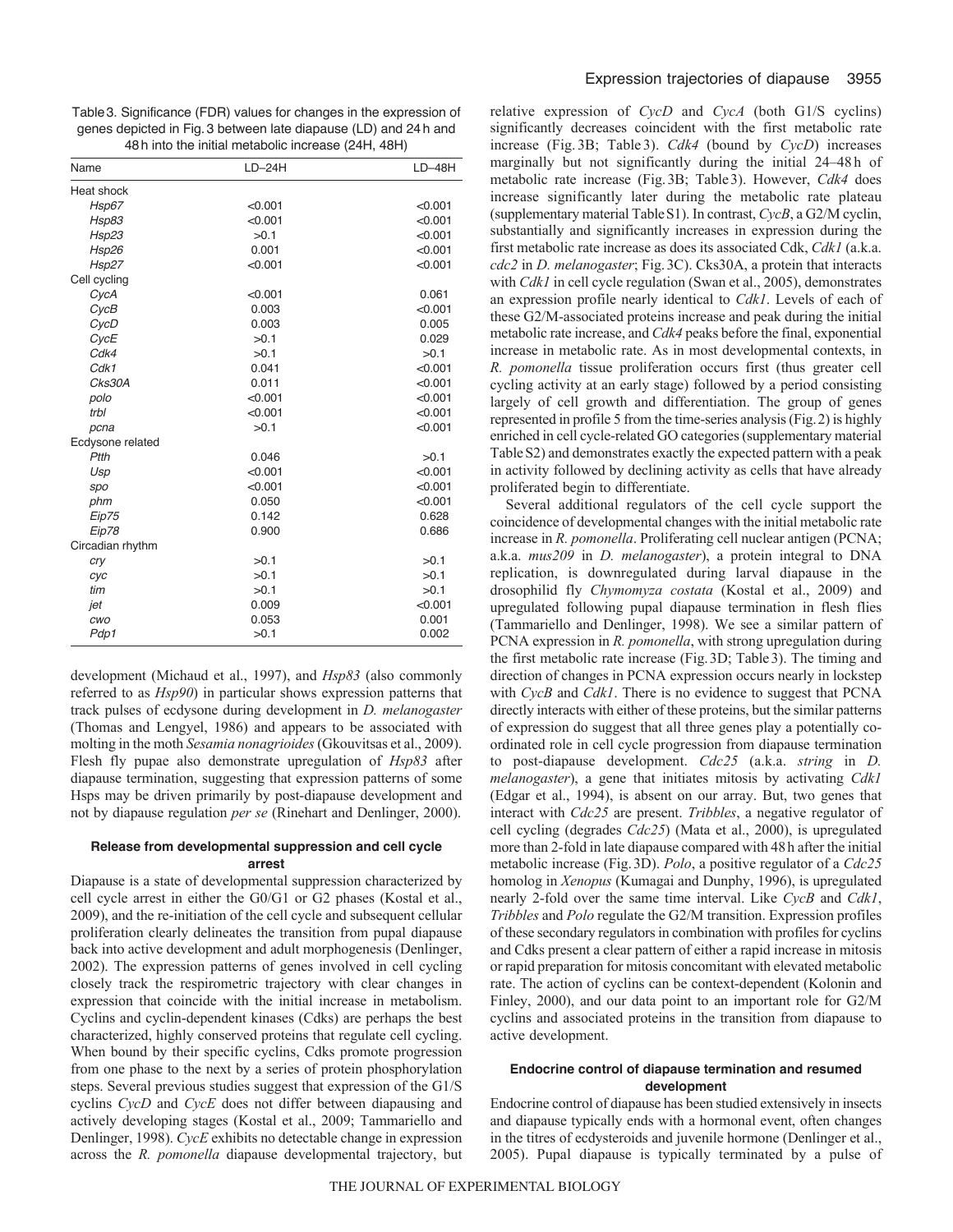Table3. Significance (FDR) values for changes in the expression of genes depicted in Fig.3 between late diapause (LD) and 24h and 48h into the initial metabolic increase (24H, 48H)

| Name             | $LD-24H$ | $LD-48H$ |
|------------------|----------|----------|
| Heat shock       |          |          |
| Hsp67            | < 0.001  | < 0.001  |
| Hsp83            | < 0.001  | < 0.001  |
| Hsp23            | >0.1     | < 0.001  |
| Hsp26            | 0.001    | < 0.001  |
| Hsp27            | < 0.001  | < 0.001  |
| Cell cycling     |          |          |
| CycA             | < 0.001  | 0.061    |
| CycB             | 0.003    | < 0.001  |
| CycD             | 0.003    | 0.005    |
| CycE             | >0.1     | 0.029    |
| Cdk4             | >0.1     | >0.1     |
| Cdk1             | 0.041    | < 0.001  |
| Cks30A           | 0.011    | < 0.001  |
| polo             | < 0.001  | < 0.001  |
| trbl             | < 0.001  | < 0.001  |
| pcna             | >0.1     | < 0.001  |
| Ecdysone related |          |          |
| Ptth             | 0.046    | >0.1     |
| Usp              | < 0.001  | < 0.001  |
| spo              | < 0.001  | < 0.001  |
| phm              | 0.050    | < 0.001  |
| Eip75            | 0.142    | 0.628    |
| Eip78            | 0.900    | 0.686    |
| Circadian rhythm |          |          |
| cry              | >0.1     | >0.1     |
| cyc              | >0.1     | >0.1     |
| tim              | >0.1     | >0.1     |
| jet              | 0.009    | < 0.001  |
| cwo              | 0.053    | 0.001    |
| Pdp1             | >0.1     | 0.002    |

development (Michaud et al., 1997), and *Hsp83* (also commonly referred to as *Hsp90*) in particular shows expression patterns that track pulses of ecdysone during development in *D. melanogaster* (Thomas and Lengyel, 1986) and appears to be associated with molting in the moth *Sesamia nonagrioides* (Gkouvitsas et al., 2009). Flesh fly pupae also demonstrate upregulation of *Hsp83* after diapause termination, suggesting that expression patterns of some Hsps may be driven primarily by post-diapause development and not by diapause regulation *per se* (Rinehart and Denlinger, 2000).

## **Release from developmental suppression and cell cycle arrest**

Diapause is a state of developmental suppression characterized by cell cycle arrest in either the G0/G1 or G2 phases (Kostal et al., 2009), and the re-initiation of the cell cycle and subsequent cellular proliferation clearly delineates the transition from pupal diapause back into active development and adult morphogenesis (Denlinger, 2002). The expression patterns of genes involved in cell cycling closely track the respirometric trajectory with clear changes in expression that coincide with the initial increase in metabolism. Cyclins and cyclin-dependent kinases (Cdks) are perhaps the best characterized, highly conserved proteins that regulate cell cycling. When bound by their specific cyclins, Cdks promote progression from one phase to the next by a series of protein phosphorylation steps. Several previous studies suggest that expression of the G1/S cyclins *CycD* and *CycE* does not differ between diapausing and actively developing stages (Kostal et al., 2009; Tammariello and Denlinger, 1998). *CycE* exhibits no detectable change in expression across the *R. pomonella* diapause developmental trajectory, but relative expression of *CycD* and *CycA* (both G1/S cyclins) significantly decreases coincident with the first metabolic rate increase (Fig. 3B; Table 3). *Cdk4* (bound by *CycD*) increases marginally but not significantly during the initial 24–48 h of metabolic rate increase (Fig.3B; Table3). However, *Cdk4* does increase significantly later during the metabolic rate plateau (supplementary material TableS1). In contrast, *CycB*, a G2/M cyclin, substantially and significantly increases in expression during the first metabolic rate increase as does its associated Cdk, *Cdk1* (a.k.a. *cdc2* in *D. melanogaster*; Fig.3C). Cks30A, a protein that interacts with *Cdk1* in cell cycle regulation (Swan et al., 2005), demonstrates an expression profile nearly identical to *Cdk1*. Levels of each of these G2/M-associated proteins increase and peak during the initial metabolic rate increase, and *Cdk4* peaks before the final, exponential increase in metabolic rate. As in most developmental contexts, in *R. pomonella* tissue proliferation occurs first (thus greater cell cycling activity at an early stage) followed by a period consisting largely of cell growth and differentiation. The group of genes represented in profile 5 from the time-series analysis (Fig.2) is highly enriched in cell cycle-related GO categories (supplementary material TableS2) and demonstrates exactly the expected pattern with a peak in activity followed by declining activity as cells that have already proliferated begin to differentiate.

Several additional regulators of the cell cycle support the coincidence of developmental changes with the initial metabolic rate increase in *R. pomonella*. Proliferating cell nuclear antigen (PCNA; a.k.a. *mus209* in *D. melanogaster*), a protein integral to DNA replication, is downregulated during larval diapause in the drosophilid fly *Chymomyza costata* (Kostal et al., 2009) and upregulated following pupal diapause termination in flesh flies (Tammariello and Denlinger, 1998). We see a similar pattern of PCNA expression in *R. pomonella*, with strong upregulation during the first metabolic rate increase (Fig.3D; Table3). The timing and direction of changes in PCNA expression occurs nearly in lockstep with *CycB* and *Cdk1*. There is no evidence to suggest that PCNA directly interacts with either of these proteins, but the similar patterns of expression do suggest that all three genes play a potentially coordinated role in cell cycle progression from diapause termination to post-diapause development. *Cdc25* (a.k.a. *string* in *D. melanogaster*), a gene that initiates mitosis by activating *Cdk1* (Edgar et al., 1994), is absent on our array. But, two genes that interact with *Cdc25* are present. *Tribbles*, a negative regulator of cell cycling (degrades *Cdc25*) (Mata et al., 2000), is upregulated more than 2-fold in late diapause compared with 48h after the initial metabolic increase (Fig.3D). *Polo*, a positive regulator of a *Cdc25* homolog in *Xenopus* (Kumagai and Dunphy, 1996), is upregulated nearly 2-fold over the same time interval. Like *CycB* and *Cdk1*, *Tribbles* and *Polo* regulate the G2/M transition. Expression profiles of these secondary regulators in combination with profiles for cyclins and Cdks present a clear pattern of either a rapid increase in mitosis or rapid preparation for mitosis concomitant with elevated metabolic rate. The action of cyclins can be context-dependent (Kolonin and Finley, 2000), and our data point to an important role for G2/M cyclins and associated proteins in the transition from diapause to active development.

#### **Endocrine control of diapause termination and resumed development**

Endocrine control of diapause has been studied extensively in insects and diapause typically ends with a hormonal event, often changes in the titres of ecdysteroids and juvenile hormone (Denlinger et al., 2005). Pupal diapause is typically terminated by a pulse of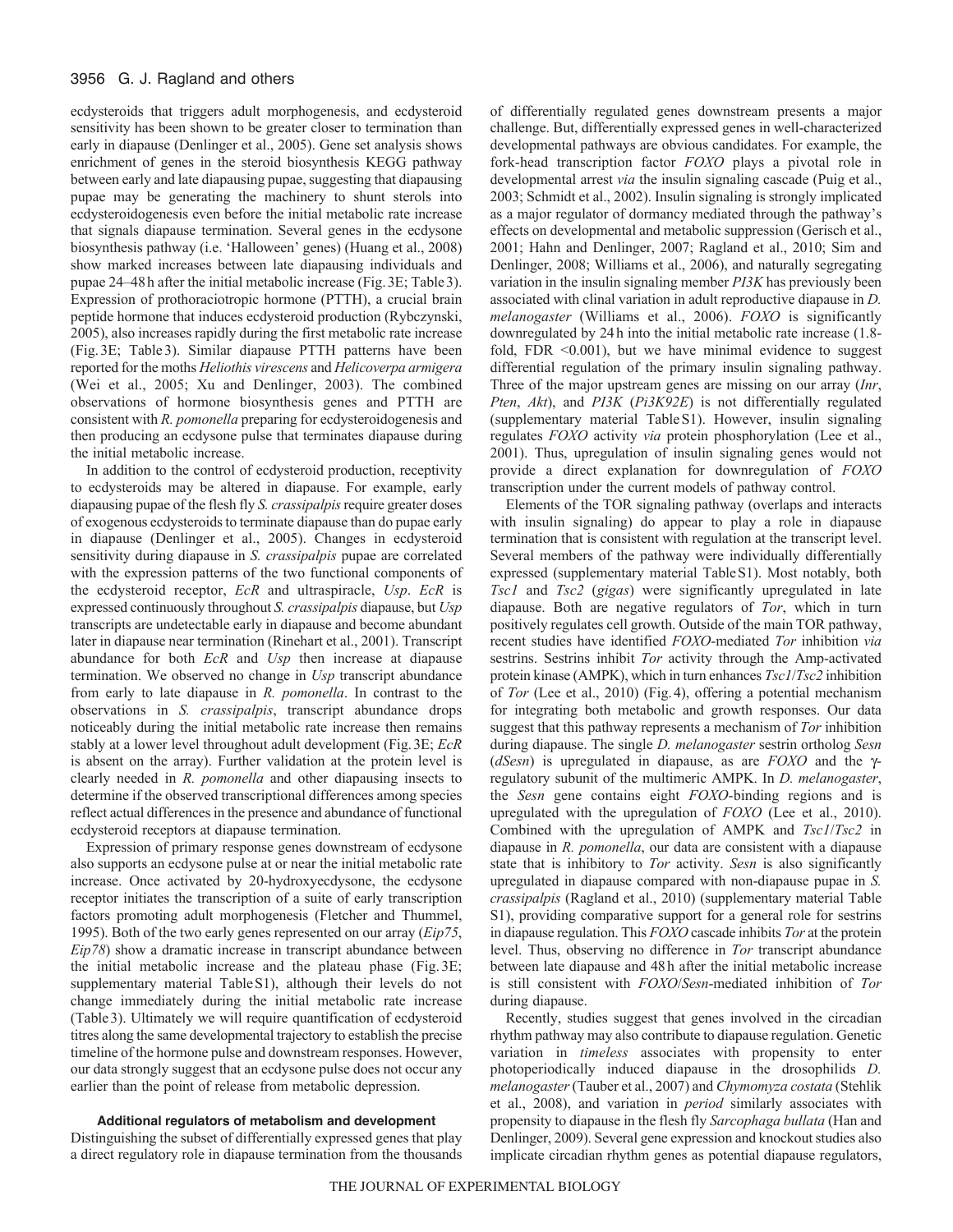ecdysteroids that triggers adult morphogenesis, and ecdysteroid sensitivity has been shown to be greater closer to termination than early in diapause (Denlinger et al., 2005). Gene set analysis shows enrichment of genes in the steroid biosynthesis KEGG pathway between early and late diapausing pupae, suggesting that diapausing pupae may be generating the machinery to shunt sterols into ecdysteroidogenesis even before the initial metabolic rate increase that signals diapause termination. Several genes in the ecdysone biosynthesis pathway (i.e. 'Halloween' genes) (Huang et al., 2008) show marked increases between late diapausing individuals and pupae 24–48h after the initial metabolic increase (Fig.3E; Table3). Expression of prothoraciotropic hormone (PTTH), a crucial brain peptide hormone that induces ecdysteroid production (Rybczynski, 2005), also increases rapidly during the first metabolic rate increase (Fig.3E; Table3). Similar diapause PTTH patterns have been reported for the moths *Heliothis virescens* and *Helicoverpa armigera* (Wei et al., 2005; Xu and Denlinger, 2003). The combined observations of hormone biosynthesis genes and PTTH are consistent with *R. pomonella* preparing for ecdysteroidogenesis and then producing an ecdysone pulse that terminates diapause during the initial metabolic increase.

In addition to the control of ecdysteroid production, receptivity to ecdysteroids may be altered in diapause. For example, early diapausing pupae of the flesh fly *S. crassipalpis*require greater doses of exogenous ecdysteroids to terminate diapause than do pupae early in diapause (Denlinger et al., 2005). Changes in ecdysteroid sensitivity during diapause in *S. crassipalpis* pupae are correlated with the expression patterns of the two functional components of the ecdysteroid receptor, *EcR* and ultraspiracle, *Usp*. *EcR* is expressed continuously throughout *S. crassipalpis* diapause, but *Usp* transcripts are undetectable early in diapause and become abundant later in diapause near termination (Rinehart et al., 2001). Transcript abundance for both *EcR* and *Usp* then increase at diapause termination. We observed no change in *Usp* transcript abundance from early to late diapause in *R. pomonella*. In contrast to the observations in *S. crassipalpis*, transcript abundance drops noticeably during the initial metabolic rate increase then remains stably at a lower level throughout adult development (Fig.3E; *EcR* is absent on the array). Further validation at the protein level is clearly needed in *R. pomonella* and other diapausing insects to determine if the observed transcriptional differences among species reflect actual differences in the presence and abundance of functional ecdysteroid receptors at diapause termination.

Expression of primary response genes downstream of ecdysone also supports an ecdysone pulse at or near the initial metabolic rate increase. Once activated by 20-hydroxyecdysone, the ecdysone receptor initiates the transcription of a suite of early transcription factors promoting adult morphogenesis (Fletcher and Thummel, 1995). Both of the two early genes represented on our array (*Eip75*, *Eip78*) show a dramatic increase in transcript abundance between the initial metabolic increase and the plateau phase (Fig. 3E; supplementary material TableS1), although their levels do not change immediately during the initial metabolic rate increase (Table3). Ultimately we will require quantification of ecdysteroid titres along the same developmental trajectory to establish the precise timeline of the hormone pulse and downstream responses. However, our data strongly suggest that an ecdysone pulse does not occur any earlier than the point of release from metabolic depression.

**Additional regulators of metabolism and development**

Distinguishing the subset of differentially expressed genes that play a direct regulatory role in diapause termination from the thousands of differentially regulated genes downstream presents a major challenge. But, differentially expressed genes in well-characterized developmental pathways are obvious candidates. For example, the fork-head transcription factor *FOXO* plays a pivotal role in developmental arrest *via* the insulin signaling cascade (Puig et al., 2003; Schmidt et al., 2002). Insulin signaling is strongly implicated as a major regulator of dormancy mediated through the pathway's effects on developmental and metabolic suppression (Gerisch et al., 2001; Hahn and Denlinger, 2007; Ragland et al., 2010; Sim and Denlinger, 2008; Williams et al., 2006), and naturally segregating variation in the insulin signaling member *PI3K* has previously been associated with clinal variation in adult reproductive diapause in *D. melanogaster* (Williams et al., 2006). *FOXO* is significantly downregulated by 24h into the initial metabolic rate increase (1.8 fold, FDR <0.001), but we have minimal evidence to suggest differential regulation of the primary insulin signaling pathway. Three of the major upstream genes are missing on our array (*Inr*, *Pten*, *Akt*), and *PI3K* (*Pi3K92E*) is not differentially regulated (supplementary material TableS1). However, insulin signaling regulates *FOXO* activity *via* protein phosphorylation (Lee et al., 2001). Thus, upregulation of insulin signaling genes would not provide a direct explanation for downregulation of *FOXO* transcription under the current models of pathway control.

Elements of the TOR signaling pathway (overlaps and interacts with insulin signaling) do appear to play a role in diapause termination that is consistent with regulation at the transcript level. Several members of the pathway were individually differentially expressed (supplementary material TableS1). Most notably, both *Tsc1* and *Tsc2* (*gigas*) were significantly upregulated in late diapause. Both are negative regulators of *Tor*, which in turn positively regulates cell growth. Outside of the main TOR pathway, recent studies have identified *FOXO*-mediated *Tor* inhibition *via* sestrins. Sestrins inhibit *Tor* activity through the Amp-activated protein kinase (AMPK), which in turn enhances *Tsc1*/*Tsc2* inhibition of *Tor* (Lee et al., 2010) (Fig.4), offering a potential mechanism for integrating both metabolic and growth responses. Our data suggest that this pathway represents a mechanism of *Tor* inhibition during diapause. The single *D. melanogaster* sestrin ortholog *Sesn* ( $dSesn$ ) is upregulated in diapause, as are *FOXO* and the  $\gamma$ regulatory subunit of the multimeric AMPK. In *D. melanogaster*, the *Sesn* gene contains eight *FOXO*-binding regions and is upregulated with the upregulation of *FOXO* (Lee et al., 2010). Combined with the upregulation of AMPK and *Tsc1*/*Tsc2* in diapause in *R. pomonella*, our data are consistent with a diapause state that is inhibitory to *Tor* activity. *Sesn* is also significantly upregulated in diapause compared with non-diapause pupae in *S. crassipalpis* (Ragland et al., 2010) (supplementary material Table S1), providing comparative support for a general role for sestrins in diapause regulation. This *FOXO* cascade inhibits *Tor* at the protein level. Thus, observing no difference in *Tor* transcript abundance between late diapause and 48h after the initial metabolic increase is still consistent with *FOXO*/*Sesn*-mediated inhibition of *Tor* during diapause.

Recently, studies suggest that genes involved in the circadian rhythm pathway may also contribute to diapause regulation. Genetic variation in *timeless* associates with propensity to enter photoperiodically induced diapause in the drosophilids *D. melanogaster*(Tauber et al., 2007) and *Chymomyza costata* (Stehlik et al., 2008), and variation in *period* similarly associates with propensity to diapause in the flesh fly *Sarcophaga bullata* (Han and Denlinger, 2009). Several gene expression and knockout studies also implicate circadian rhythm genes as potential diapause regulators,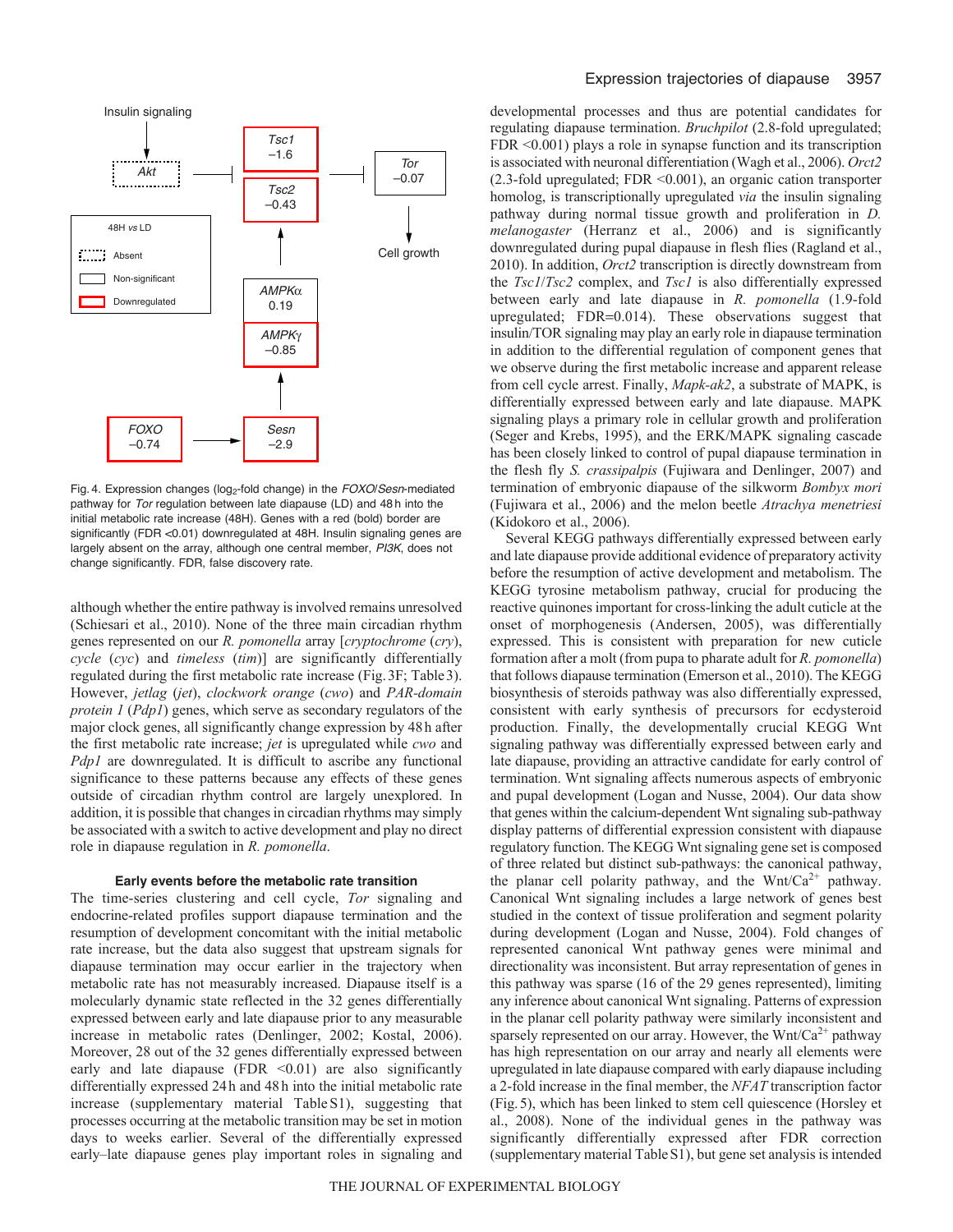

Fig. 4. Expression changes (log2-fold change) in the *FOXO*/*Sesn*-mediated pathway for *Tor* regulation between late diapause (LD) and 48 h into the initial metabolic rate increase (48H). Genes with a red (bold) border are significantly (FDR <0.01) downregulated at 48H. Insulin signaling genes are largely absent on the array, although one central member, *PI3K*, does not change significantly. FDR, false discovery rate.

although whether the entire pathway is involved remains unresolved (Schiesari et al., 2010). None of the three main circadian rhythm genes represented on our *R. pomonella* array [*cryptochrome* (*cry*), *cycle* (*cyc*) and *timeless* (*tim*)] are significantly differentially regulated during the first metabolic rate increase (Fig.3F; Table3). However, *jetlag* (*jet*), *clockwork orange* (*cwo*) and *PAR-domain protein 1* (*Pdp1*) genes, which serve as secondary regulators of the major clock genes, all significantly change expression by 48h after the first metabolic rate increase; *jet* is upregulated while *cwo* and *Pdp1* are downregulated. It is difficult to ascribe any functional significance to these patterns because any effects of these genes outside of circadian rhythm control are largely unexplored. In addition, it is possible that changes in circadian rhythms may simply be associated with a switch to active development and play no direct role in diapause regulation in *R. pomonella*.

# **Early events before the metabolic rate transition**

The time-series clustering and cell cycle, *Tor* signaling and endocrine-related profiles support diapause termination and the resumption of development concomitant with the initial metabolic rate increase, but the data also suggest that upstream signals for diapause termination may occur earlier in the trajectory when metabolic rate has not measurably increased. Diapause itself is a molecularly dynamic state reflected in the 32 genes differentially expressed between early and late diapause prior to any measurable increase in metabolic rates (Denlinger, 2002; Kostal, 2006). Moreover, 28 out of the 32 genes differentially expressed between early and late diapause (FDR  $\leq 0.01$ ) are also significantly differentially expressed 24h and 48h into the initial metabolic rate increase (supplementary material TableS1), suggesting that processes occurring at the metabolic transition may be set in motion days to weeks earlier. Several of the differentially expressed early–late diapause genes play important roles in signaling and developmental processes and thus are potential candidates for regulating diapause termination. *Bruchpilot* (2.8-fold upregulated; FDR <0.001) plays a role in synapse function and its transcription is associated with neuronal differentiation (Wagh et al., 2006). *Orct2* (2.3-fold upregulated; FDR <0.001), an organic cation transporter homolog, is transcriptionally upregulated *via* the insulin signaling pathway during normal tissue growth and proliferation in *D. melanogaster* (Herranz et al., 2006) and is significantly downregulated during pupal diapause in flesh flies (Ragland et al., 2010). In addition, *Orct2* transcription is directly downstream from the *Tsc1*/*Tsc2* complex, and *Tsc1* is also differentially expressed between early and late diapause in *R. pomonella* (1.9-fold upregulated;  $FDR=0.014$ ). These observations suggest that insulin/TOR signaling may play an early role in diapause termination in addition to the differential regulation of component genes that we observe during the first metabolic increase and apparent release from cell cycle arrest. Finally, *Mapk-ak2*, a substrate of MAPK, is differentially expressed between early and late diapause. MAPK signaling plays a primary role in cellular growth and proliferation (Seger and Krebs, 1995), and the ERK/MAPK signaling cascade has been closely linked to control of pupal diapause termination in the flesh fly *S. crassipalpis* (Fujiwara and Denlinger, 2007) and termination of embryonic diapause of the silkworm *Bombyx mori* (Fujiwara et al., 2006) and the melon beetle *Atrachya menetriesi* (Kidokoro et al., 2006).

Several KEGG pathways differentially expressed between early and late diapause provide additional evidence of preparatory activity before the resumption of active development and metabolism. The KEGG tyrosine metabolism pathway, crucial for producing the reactive quinones important for cross-linking the adult cuticle at the onset of morphogenesis (Andersen, 2005), was differentially expressed. This is consistent with preparation for new cuticle formation after a molt (from pupa to pharate adult for *R. pomonella*) that follows diapause termination (Emerson et al., 2010). The KEGG biosynthesis of steroids pathway was also differentially expressed, consistent with early synthesis of precursors for ecdysteroid production. Finally, the developmentally crucial KEGG Wnt signaling pathway was differentially expressed between early and late diapause, providing an attractive candidate for early control of termination. Wnt signaling affects numerous aspects of embryonic and pupal development (Logan and Nusse, 2004). Our data show that genes within the calcium-dependent Wnt signaling sub-pathway display patterns of differential expression consistent with diapause regulatory function. The KEGG Wnt signaling gene set is composed of three related but distinct sub-pathways: the canonical pathway, the planar cell polarity pathway, and the Wnt/Ca<sup>2+</sup> pathway. Canonical Wnt signaling includes a large network of genes best studied in the context of tissue proliferation and segment polarity during development (Logan and Nusse, 2004). Fold changes of represented canonical Wnt pathway genes were minimal and directionality was inconsistent. But array representation of genes in this pathway was sparse (16 of the 29 genes represented), limiting any inference about canonical Wnt signaling. Patterns of expression in the planar cell polarity pathway were similarly inconsistent and sparsely represented on our array. However, the Wnt/Ca<sup>2+</sup> pathway has high representation on our array and nearly all elements were upregulated in late diapause compared with early diapause including a 2-fold increase in the final member, the *NFAT* transcription factor (Fig.5), which has been linked to stem cell quiescence (Horsley et al., 2008). None of the individual genes in the pathway was significantly differentially expressed after FDR correction (supplementary material TableS1), but gene set analysis is intended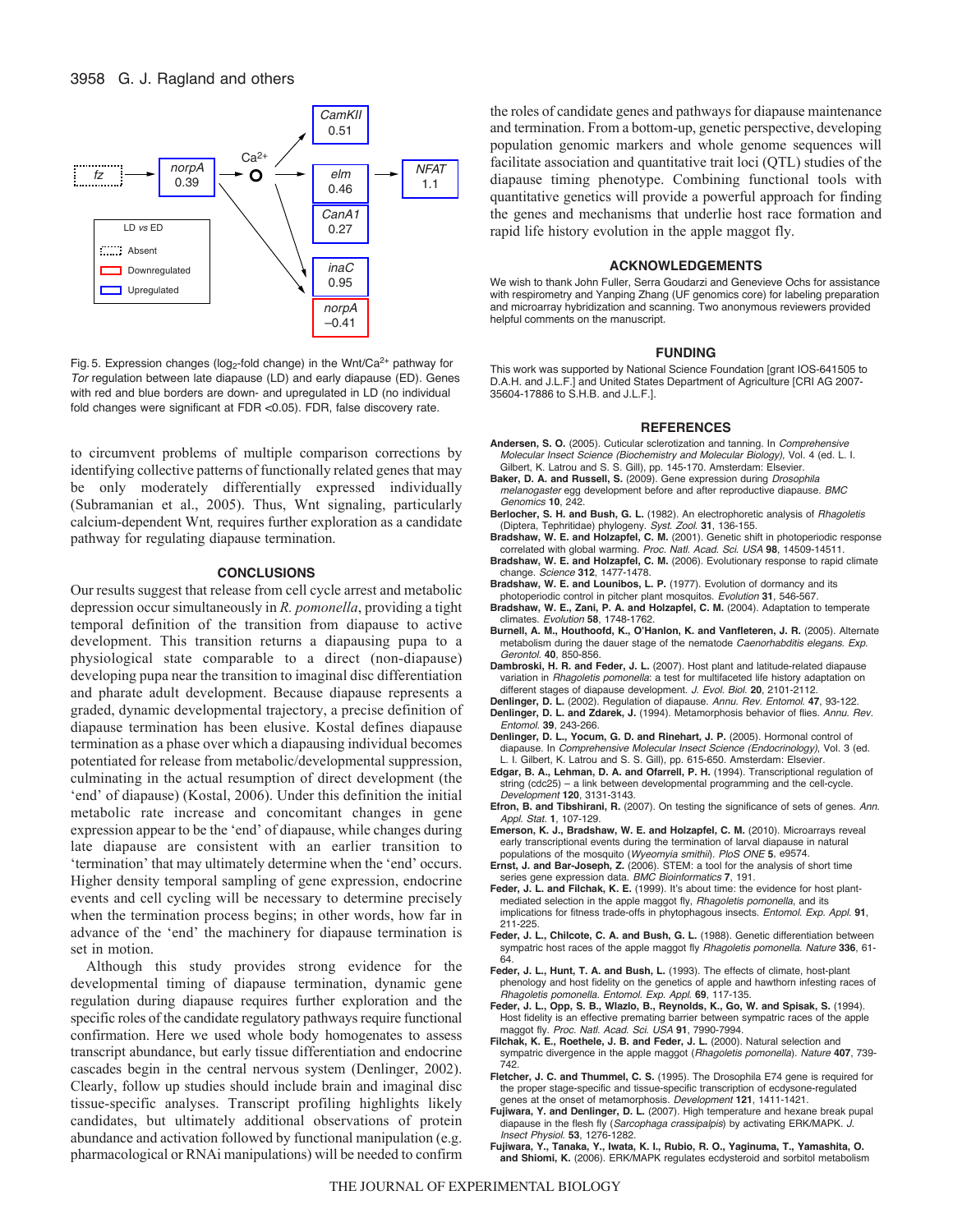

Fig. 5. Expression changes (log<sub>2</sub>-fold change) in the Wnt/Ca<sup>2+</sup> pathway for *Tor* regulation between late diapause (LD) and early diapause (ED). Genes with red and blue borders are down- and upregulated in LD (no individual fold changes were significant at FDR <0.05). FDR, false discovery rate.

to circumvent problems of multiple comparison corrections by identifying collective patterns of functionally related genes that may be only moderately differentially expressed individually (Subramanian et al., 2005). Thus, Wnt signaling, particularly calcium-dependent Wnt*,* requires further exploration as a candidate pathway for regulating diapause termination.

#### **CONCLUSIONS**

Our results suggest that release from cell cycle arrest and metabolic depression occur simultaneously in *R. pomonella*, providing a tight temporal definition of the transition from diapause to active development. This transition returns a diapausing pupa to a physiological state comparable to a direct (non-diapause) developing pupa near the transition to imaginal disc differentiation and pharate adult development. Because diapause represents a graded, dynamic developmental trajectory, a precise definition of diapause termination has been elusive. Kostal defines diapause termination as a phase over which a diapausing individual becomes potentiated for release from metabolic/developmental suppression, culminating in the actual resumption of direct development (the 'end' of diapause) (Kostal, 2006). Under this definition the initial metabolic rate increase and concomitant changes in gene expression appear to be the 'end' of diapause, while changes during late diapause are consistent with an earlier transition to 'termination' that may ultimately determine when the 'end' occurs. Higher density temporal sampling of gene expression, endocrine events and cell cycling will be necessary to determine precisely when the termination process begins; in other words, how far in advance of the 'end' the machinery for diapause termination is set in motion.

Although this study provides strong evidence for the developmental timing of diapause termination, dynamic gene regulation during diapause requires further exploration and the specific roles of the candidate regulatory pathways require functional confirmation. Here we used whole body homogenates to assess transcript abundance, but early tissue differentiation and endocrine cascades begin in the central nervous system (Denlinger, 2002). Clearly, follow up studies should include brain and imaginal disc tissue-specific analyses. Transcript profiling highlights likely candidates, but ultimately additional observations of protein abundance and activation followed by functional manipulation (e.g. pharmacological or RNAi manipulations) will be needed to confirm the roles of candidate genes and pathways for diapause maintenance and termination. From a bottom-up, genetic perspective, developing population genomic markers and whole genome sequences will facilitate association and quantitative trait loci (QTL) studies of the diapause timing phenotype. Combining functional tools with quantitative genetics will provide a powerful approach for finding the genes and mechanisms that underlie host race formation and rapid life history evolution in the apple maggot fly.

#### **ACKNOWLEDGEMENTS**

We wish to thank John Fuller, Serra Goudarzi and Genevieve Ochs for assistance with respirometry and Yanping Zhang (UF genomics core) for labeling preparation and microarray hybridization and scanning. Two anonymous reviewers provided helpful comments on the manuscript.

#### **FUNDING**

This work was supported by National Science Foundation [grant IOS-641505 to D.A.H. and J.L.F.] and United States Department of Agriculture [CRI AG 2007- 35604-17886 to S.H.B. and J.L.F.].

#### **REFERENCES**

- **Andersen, S. O.** (2005). Cuticular sclerotization and tanning. In *Comprehensive Molecular Insect Science (Biochemistry and Molecular Biology),* Vol. 4 (ed. L. I. Gilbert, K. Latrou and S. S. Gill), pp. 145-170. Amsterdam: Elsevier.
- **Baker, D. A. and Russell, S.** (2009). Gene expression during *Drosophila melanogaster* egg development before and after reproductive diapause. *BMC Genomics* **10**, 242.
- **Berlocher, S. H. and Bush, G. L.** (1982). An electrophoretic analysis of *Rhagoletis* (Diptera, Tephritidae) phylogeny. *Syst. Zool.* **31**, 136-155.
- **Bradshaw, W. E. and Holzapfel, C. M.** (2001). Genetic shift in photoperiodic response correlated with global warming. *Proc. Natl. Acad. Sci. USA* **98**, 14509-14511.
- **Bradshaw, W. E. and Holzapfel, C. M.** (2006). Evolutionary response to rapid climate change. *Science* **312**, 1477-1478.
- **Bradshaw, W. E. and Lounibos, L. P.** (1977). Evolution of dormancy and its photoperiodic control in pitcher plant mosquitos. *Evolution* **31**, 546-567.
- **Bradshaw, W. E., Zani, P. A. and Holzapfel, C. M.** (2004). Adaptation to temperate climates. *Evolution* **58**, 1748-1762.
- **Burnell, A. M., Houthoofd, K., O'Hanlon, K. and Vanfleteren, J. R.** (2005). Alternate metabolism during the dauer stage of the nematode *Caenorhabditis elegans*. *Exp. Gerontol.* **40**, 850-856.
- **Dambroski, H. R. and Feder, J. L.** (2007). Host plant and latitude-related diapause variation in *Rhagoletis pomonella*: a test for multifaceted life history adaptation on different stages of diapause development. *J. Evol. Biol.* **20**, 2101-2112.
- **Denlinger, D. L.** (2002). Regulation of diapause. *Annu. Rev. Entomol.* **47**, 93-122.
- **Denlinger, D. L. and Zdarek, J.** (1994). Metamorphosis behavior of flies. *Annu. Rev. Entomol.* **39**, 243-266.
- **Denlinger, D. L., Yocum, G. D. and Rinehart, J. P.** (2005). Hormonal control of diapause. In *Comprehensive Molecular Insect Science (Endocrinology)*, Vol. 3 (ed. L. I. Gilbert, K. Latrou and S. S. Gill), pp. 615-650. Amsterdam: Elsevier.
- **Edgar, B. A., Lehman, D. A. and Ofarrell, P. H.** (1994). Transcriptional regulation of string (cdc25) – a link between developmental programming and the cell-cycle. *Development* **120**, 3131-3143.
- **Efron, B. and Tibshirani, R.** (2007). On testing the significance of sets of genes. *Ann. Appl. Stat.* **1**, 107-129.
- **Emerson, K. J., Bradshaw, W. E. and Holzapfel, C. M.** (2010). Microarrays reveal early transcriptional events during the termination of larval diapause in natural populations of the mosquito (*Wyeomyia smithii*). *PloS ONE* **5**, e9574.
- **Ernst, J. and Bar-Joseph, Z.** (2006). STEM: a tool for the analysis of short time series gene expression data. *BMC Bioinformatics* **7**, 191.
- **Feder, J. L. and Filchak, K. E.** (1999). It's about time: the evidence for host plantmediated selection in the apple maggot fly, *Rhagoletis pomonella*, and its implications for fitness trade-offs in phytophagous insects. *Entomol. Exp. Appl.* **91**, 211-225.
- **Feder, J. L., Chilcote, C. A. and Bush, G. L.** (1988). Genetic differentiation between sympatric host races of the apple maggot fly *Rhagoletis pomonella*. *Nature* **336**, 61-  $64$
- **Feder, J. L., Hunt, T. A. and Bush, L.** (1993). The effects of climate, host-plant phenology and host fidelity on the genetics of apple and hawthorn infesting races of *Rhagoletis pomonella*. *Entomol. Exp. Appl.* **69**, 117-135.
- **Feder, J. L., Opp, S. B., Wlazlo, B., Reynolds, K., Go, W. and Spisak, S.** (1994). Host fidelity is an effective premating barrier between sympatric races of the apple maggot fly. *Proc. Natl. Acad. Sci. USA* **91**, 7990-7994.
- **Filchak, K. E., Roethele, J. B. and Feder, J. L.** (2000). Natural selection and sympatric divergence in the apple maggot (*Rhagoletis pomonella*). *Nature* **407**, 739- 742.
- **Fletcher, J. C. and Thummel, C. S.** (1995). The Drosophila E74 gene is required for the proper stage-specific and tissue-specific transcription of ecdysone-regulated genes at the onset of metamorphosis. *Development* **121**, 1411-1421.
- **Fujiwara, Y. and Denlinger, D. L.** (2007). High temperature and hexane break pupal diapause in the flesh fly (*Sarcophaga crassipalpis*) by activating ERK/MAPK. *J. Insect Physiol.* **53**, 1276-1282.
- **Fujiwara, Y., Tanaka, Y., Iwata, K. I., Rubio, R. O., Yaginuma, T., Yamashita, O. and Shiomi, K.** (2006). ERK/MAPK regulates ecdysteroid and sorbitol metabolism